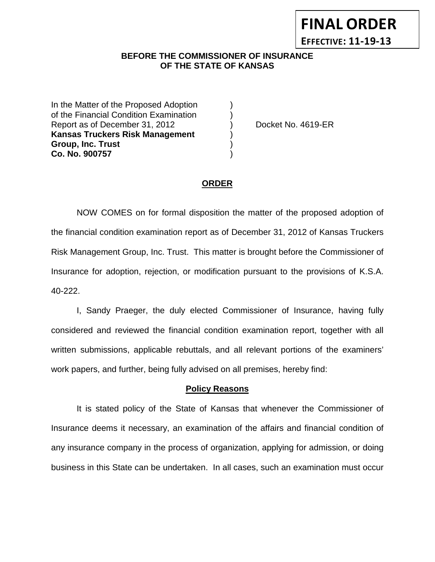## **BEFORE THE COMMISSIONER OF INSURANCE OF THE STATE OF KANSAS**

In the Matter of the Proposed Adoption of the Financial Condition Examination ) Report as of December 31, 2012 (a) Docket No. 4619-ER **Kansas Truckers Risk Management** ) **Group, Inc. Trust** ) **Co. No. 900757** )

### **ORDER**

NOW COMES on for formal disposition the matter of the proposed adoption of the financial condition examination report as of December 31, 2012 of Kansas Truckers Risk Management Group, Inc. Trust. This matter is brought before the Commissioner of Insurance for adoption, rejection, or modification pursuant to the provisions of K.S.A. 40-222.

I, Sandy Praeger, the duly elected Commissioner of Insurance, having fully considered and reviewed the financial condition examination report, together with all written submissions, applicable rebuttals, and all relevant portions of the examiners' work papers, and further, being fully advised on all premises, hereby find:

## **Policy Reasons**

It is stated policy of the State of Kansas that whenever the Commissioner of Insurance deems it necessary, an examination of the affairs and financial condition of any insurance company in the process of organization, applying for admission, or doing business in this State can be undertaken. In all cases, such an examination must occur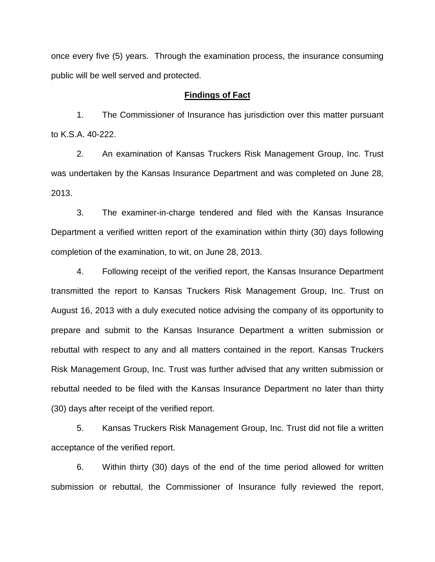once every five (5) years. Through the examination process, the insurance consuming public will be well served and protected.

#### **Findings of Fact**

1. The Commissioner of Insurance has jurisdiction over this matter pursuant to K.S.A. 40-222.

2. An examination of Kansas Truckers Risk Management Group, Inc. Trust was undertaken by the Kansas Insurance Department and was completed on June 28, 2013.

3. The examiner-in-charge tendered and filed with the Kansas Insurance Department a verified written report of the examination within thirty (30) days following completion of the examination, to wit, on June 28, 2013.

4. Following receipt of the verified report, the Kansas Insurance Department transmitted the report to Kansas Truckers Risk Management Group, Inc. Trust on August 16, 2013 with a duly executed notice advising the company of its opportunity to prepare and submit to the Kansas Insurance Department a written submission or rebuttal with respect to any and all matters contained in the report. Kansas Truckers Risk Management Group, Inc. Trust was further advised that any written submission or rebuttal needed to be filed with the Kansas Insurance Department no later than thirty (30) days after receipt of the verified report.

5. Kansas Truckers Risk Management Group, Inc. Trust did not file a written acceptance of the verified report.

6. Within thirty (30) days of the end of the time period allowed for written submission or rebuttal, the Commissioner of Insurance fully reviewed the report,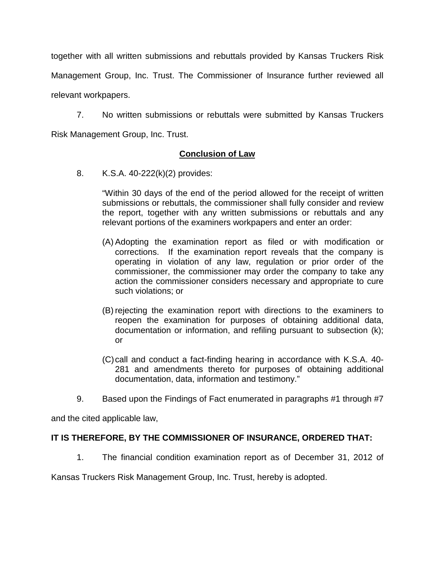together with all written submissions and rebuttals provided by Kansas Truckers Risk

Management Group, Inc. Trust. The Commissioner of Insurance further reviewed all

relevant workpapers.

7. No written submissions or rebuttals were submitted by Kansas Truckers Risk Management Group, Inc. Trust.

# **Conclusion of Law**

8. K.S.A. 40-222(k)(2) provides:

"Within 30 days of the end of the period allowed for the receipt of written submissions or rebuttals, the commissioner shall fully consider and review the report, together with any written submissions or rebuttals and any relevant portions of the examiners workpapers and enter an order:

- (A) Adopting the examination report as filed or with modification or corrections. If the examination report reveals that the company is operating in violation of any law, regulation or prior order of the commissioner, the commissioner may order the company to take any action the commissioner considers necessary and appropriate to cure such violations; or
- (B) rejecting the examination report with directions to the examiners to reopen the examination for purposes of obtaining additional data, documentation or information, and refiling pursuant to subsection (k); or
- (C)call and conduct a fact-finding hearing in accordance with K.S.A. 40- 281 and amendments thereto for purposes of obtaining additional documentation, data, information and testimony."
- 9. Based upon the Findings of Fact enumerated in paragraphs #1 through #7

and the cited applicable law,

# **IT IS THEREFORE, BY THE COMMISSIONER OF INSURANCE, ORDERED THAT:**

1. The financial condition examination report as of December 31, 2012 of

Kansas Truckers Risk Management Group, Inc. Trust, hereby is adopted.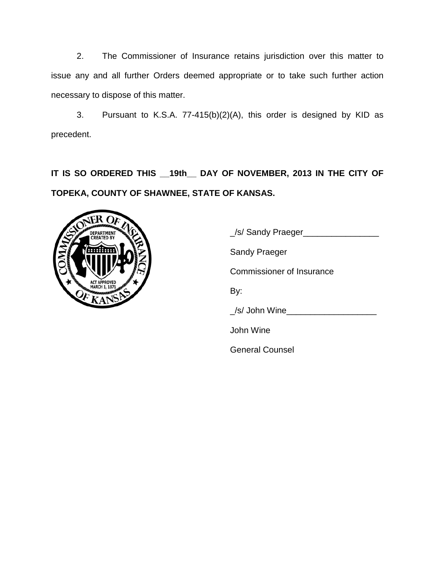2. The Commissioner of Insurance retains jurisdiction over this matter to issue any and all further Orders deemed appropriate or to take such further action necessary to dispose of this matter.

3. Pursuant to K.S.A. 77-415(b)(2)(A), this order is designed by KID as precedent.

**IT IS SO ORDERED THIS \_\_19th\_\_ DAY OF NOVEMBER, 2013 IN THE CITY OF TOPEKA, COUNTY OF SHAWNEE, STATE OF KANSAS.**



\_/s/ Sandy Praeger\_\_\_\_\_\_\_\_\_\_\_\_\_\_\_\_ Sandy Praeger Commissioner of Insurance By: \_/s/ John Wine\_\_\_\_\_\_\_\_\_\_\_\_\_\_\_\_\_\_\_ John Wine General Counsel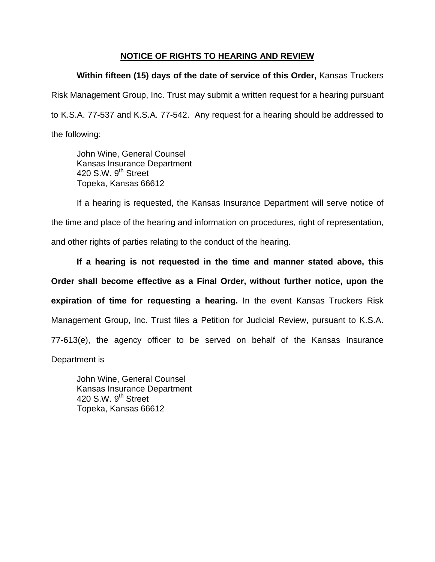## **NOTICE OF RIGHTS TO HEARING AND REVIEW**

**Within fifteen (15) days of the date of service of this Order,** Kansas Truckers Risk Management Group, Inc. Trust may submit a written request for a hearing pursuant to K.S.A. 77-537 and K.S.A. 77-542. Any request for a hearing should be addressed to the following:

John Wine, General Counsel Kansas Insurance Department 420 S.W. 9<sup>th</sup> Street Topeka, Kansas 66612

If a hearing is requested, the Kansas Insurance Department will serve notice of the time and place of the hearing and information on procedures, right of representation, and other rights of parties relating to the conduct of the hearing.

**If a hearing is not requested in the time and manner stated above, this Order shall become effective as a Final Order, without further notice, upon the expiration of time for requesting a hearing.** In the event Kansas Truckers Risk Management Group, Inc. Trust files a Petition for Judicial Review, pursuant to K.S.A. 77-613(e), the agency officer to be served on behalf of the Kansas Insurance

Department is

John Wine, General Counsel Kansas Insurance Department 420 S.W.  $9<sup>th</sup>$  Street Topeka, Kansas 66612